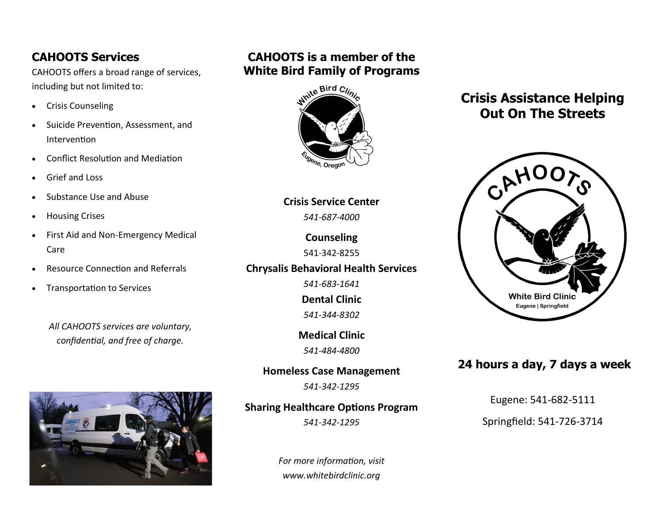### **CAHOOTS Services**

CAHOOTS offers a broad range of services, including but not limited to:

- Crisis Counseling
- Suicide Prevention, Assessment, and Intervention
- Conflict Resolution and Mediation
- Grief and Loss
- Substance Use and Abuse
- Housing Crises
- First Aid and Non-Emergency Medical Care
- Resource Connection and Referrals
- Transportation to Services

*All CAHOOTS services are voluntary, confidential, and free of charge.*



## **CAHOOTS is a member of the White Bird Family of Programs**



**Crisis Service Center** *541-687-4000*

> **Counseling** 541-342-8255

**Chrysalis Behavioral Health Services**

*541-683-1641* **Dental Clinic** *541-344-8302*

**Medical Clinic** *541-484-4800*

**Homeless Case Management**

*541-342-1295*

### **Sharing Healthcare Options Program**

*541-342-1295*

*For more information, visit www.whitebirdclinic.org*

# **Crisis Assistance Helping Out On The Streets**



### **24 hours a day, 7 days a week**

Eugene: 541-682-5111

Springfield: 541-726-3714